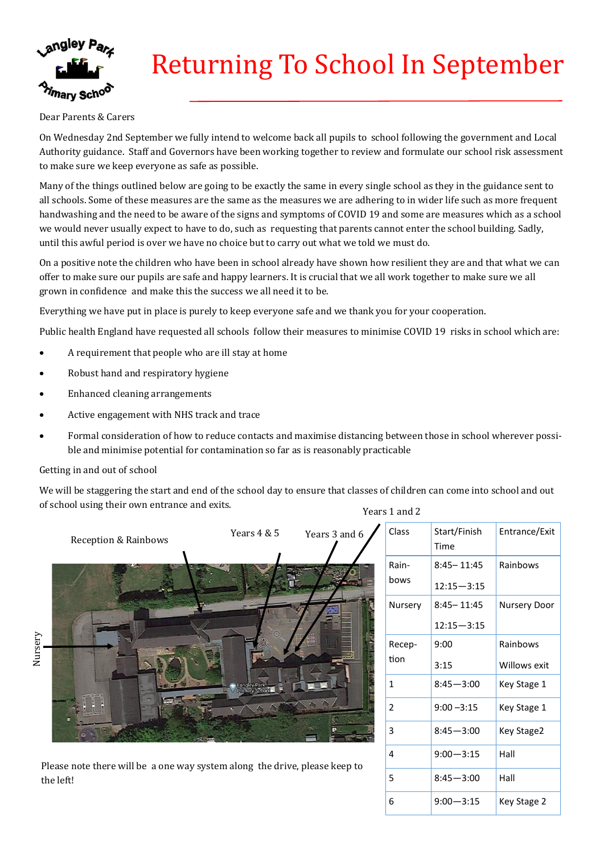

# Returning To School In September

#### Dear Parents & Carers

On Wednesday 2nd September we fully intend to welcome back all pupils to school following the government and Local Authority guidance. Staff and Governors have been working together to review and formulate our school risk assessment to make sure we keep everyone as safe as possible.

Many of the things outlined below are going to be exactly the same in every single school as they in the guidance sent to all schools. Some of these measures are the same as the measures we are adhering to in wider life such as more frequent handwashing and the need to be aware of the signs and symptoms of COVID 19 and some are measures which as a school we would never usually expect to have to do, such as requesting that parents cannot enter the school building. Sadly, until this awful period is over we have no choice but to carry out what we told we must do.

On a positive note the children who have been in school already have shown how resilient they are and that what we can offer to make sure our pupils are safe and happy learners. It is crucial that we all work together to make sure we all grown in confidence and make this the success we all need it to be.

Everything we have put in place is purely to keep everyone safe and we thank you for your cooperation.

Public health England have requested all schools follow their measures to minimise COVID 19 risks in school which are:

- A requirement that people who are ill stay at home
- Robust hand and respiratory hygiene
- Enhanced cleaning arrangements
- Active engagement with NHS track and trace
- Formal consideration of how to reduce contacts and maximise distancing between those in school wherever possible and minimise potential for contamination so far as is reasonably practicable

#### Getting in and out of school

We will be staggering the start and end of the school day to ensure that classes of children can come into school and out of school using their own entrance and exits. Years 1 and 2



Please note there will be a one way system along the drive, please keep to the left!

| Class          | Start/Finish<br>Time | Entrance/Exit |
|----------------|----------------------|---------------|
| Rain-          | $8:45 - 11:45$       | Rainbows      |
| bows           | $12:15 - 3:15$       |               |
| Nursery        | $8:45 - 11:45$       | Nursery Door  |
|                | $12:15 - 3:15$       |               |
| Recep-         | 9:00                 | Rainbows      |
| tion           | 3:15                 | Willows exit  |
| 1              | $8:45 - 3:00$        | Key Stage 1   |
| $\overline{2}$ | $9:00 - 3:15$        | Key Stage 1   |
| 3              | $8:45 - 3:00$        | Key Stage2    |
| 4              | $9:00 - 3:15$        | Hall          |
| 5              | $8:45 - 3:00$        | Hall          |
| 6              | $9:00 - 3:15$        | Key Stage 2   |